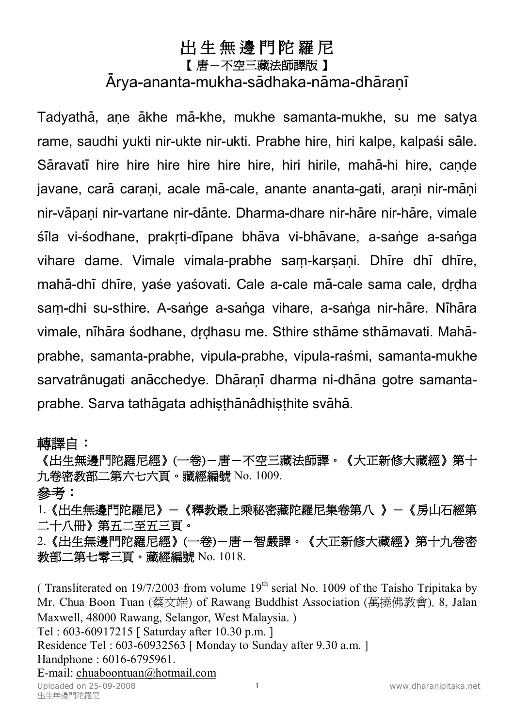## **出 生 無 邊 門 陀 羅 尼**

## 【 **唐-不空三藏法師譯版** 】

## Arya-ananta-mukha-sādhaka-nāma-dhāranī

Tadyathā, ane ākhe mā-khe, mukhe samanta-mukhe, su me satya rame, saudhi yukti nir-ukte nir-ukti. Prabhe hire, hiri kalpe, kalpaśi sāle. Sāravatī hire hire hire hire hire hire, hiri hirile, mahā-hi hire, cande javane, carā carani, acale mā-cale, anante ananta-gati, arani nir-māni nir-vāpaņi nir-vartane nir-dānte. Dharma-dhare nir-hāre nir-hāre, vimale sīla vi-sodhane, prakrti-dīpane bhāva vi-bhāvane, a-sange a-sanga vihare dame. Vimale vimala-prabhe sam-karsani. Dhire dhi dhire, mahā-dhī dhīre, yaśe yaśovati. Cale a-cale mā-cale sama cale, drdha sam-dhi su-sthire. A-sange a-sanga vihare, a-sanga nir-hāre. Nīhāra vimale, nīhāra śodhane, drdhasu me. Sthire sthāme sthāmavati. Mahāprabhe, samanta-prabhe, vipula-prabhe, vipula-raśmi, samanta-mukhe sarvatrânugati anācchedye. Dhāranī dharma ni-dhāna gotre samantaprabhe. Sarva tathāgata adhisthānâdhisthite svāhā.

## **轉譯自:**

**《出生無邊門陀羅尼經》(一卷)-唐-不空三藏法師譯。《大正新修大藏經》第十 九卷密教部二第六七六頁。藏經編號** No. 1009. **參考:** 

1.**《出生無邊門陀羅尼》-《釋教最上乘秘密藏陀羅尼集卷第八 》-《房山石經第 二十八冊》第五二至五三頁。** 

2.**《出生無邊門陀羅尼經》(一卷)-唐-智嚴譯。《大正新修大藏經》第十九卷密 教部二第七零三頁。藏經編號** No. 1018.

Uploaded on 25-09-2008 1 <u>[www.dharanipitaka.net](http://www.dharanipitaka.net)</u><br>出生無邊門陀羅尼 (Transliterated on 19/7/2003 from volume  $19<sup>th</sup>$  serial No. 1009 of the Taisho Tripitaka by Mr. Chua Boon Tuan (蔡文端) of Rawang Buddhist Association (萬撓佛教會). 8, Jalan Maxwell, 48000 Rawang, Selangor, West Malaysia. ) Tel : 603-60917215 [ Saturday after 10.30 p.m. ] Residence Tel : 603-60932563 [ Monday to Sunday after 9.30 a.m. ] Handphone : 6016-6795961. E-mail: [chuaboontuan@hotmail.com](mailto:chuaboontuan@hotmail.com)